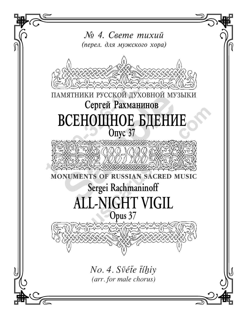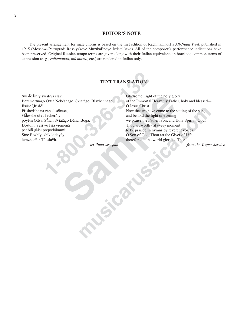## **EDITOR'S NOTE**

The present arrangement for male chorus is based on the first edition of Rachmaninoff's All-Night Vigil, published in 1915 (Moscow-Petrograd: Rossiyskoye Muzikal'noye Izdatel'stvo). All of the composer's performance indications have been preserved. Original Russian tempo terms are given along with their Italian equivalents in brackets; common terms of expression (e.g., rallentando, più mosso, etc.) are rendered in Italian only.

## **TEXT TRANSLATION**

Své-te tíhiy svîatiya slávi Bezsmértnago Ottsá Nebésnago, Sviatágo, Blazhénnago, Iisúse Hřisté! Přishédshe na západ sólntsa, vídevshe svet vechérniy, poyém Ottsá, Sina i Svîatágo Dúha, Bóga. Dostóin yesí vo fsia vřemená pet biti glási přepodóbnimi; Siñe Bózhïy, zhïvót dayáy, témzhe mir Tia slávit.

Gladsome Light of the holy glory of the Immortal Heavenly Father, holy and blessed-O Jesus Christ! Now that we have come to the setting of the sun, and behold the light of evening, we praise the Father, Son, and Holy Spirit-God. Thou art worthy at every moment to be praised in hymns by reverent voices. O Son of God, Thou art the Giver of Life; therefore all the world glorifies Thee.

-from the Vesper Service

из Чина вечерни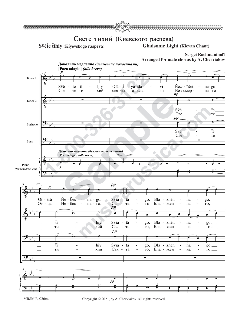

MRSM Ra026mc Copyright © 2021, by A. Cherviakov. All rights reserved.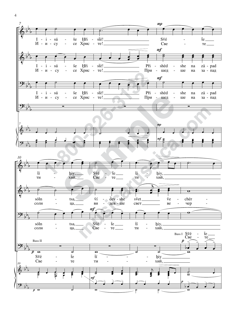

 $\overline{4}$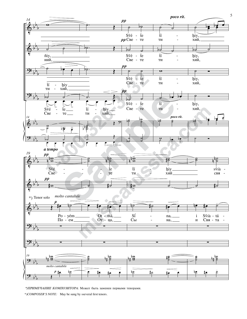

<sup>\*)</sup> ПРИМЕЧАНИЕ КОМПОЗИТОРА: Может быть заменен первыми тенорами.

<sup>\*)</sup>COMPOSER'S NOTE: May be sung by sseveral first tenors.